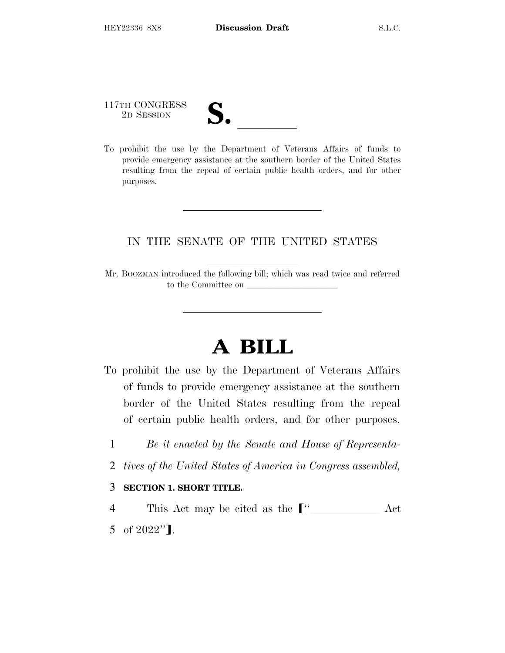117TH CONGRESS

| $\overline{\mathcal{U}}\bullet$ |  |
|---------------------------------|--|
|                                 |  |
|                                 |  |

117TH CONGRESS<br>
2D SESSION<br>
To prohibit the use by the Department of Veterans Affairs of funds to provide emergency assistance at the southern border of the United States resulting from the repeal of certain public health orders, and for other purposes.

## IN THE SENATE OF THE UNITED STATES

Mr. BOOZMAN introduced the following bill; which was read twice and referred to the Committee on

## **A BILL**

- To prohibit the use by the Department of Veterans Affairs of funds to provide emergency assistance at the southern border of the United States resulting from the repeal of certain public health orders, and for other purposes.
	- 1 *Be it enacted by the Senate and House of Representa-*
	- 2 *tives of the United States of America in Congress assembled,*

## 3 **SECTION 1. SHORT TITLE.**

4 This Act may be cited as the  $\lceil$ " Act 5 of  $2022$ "].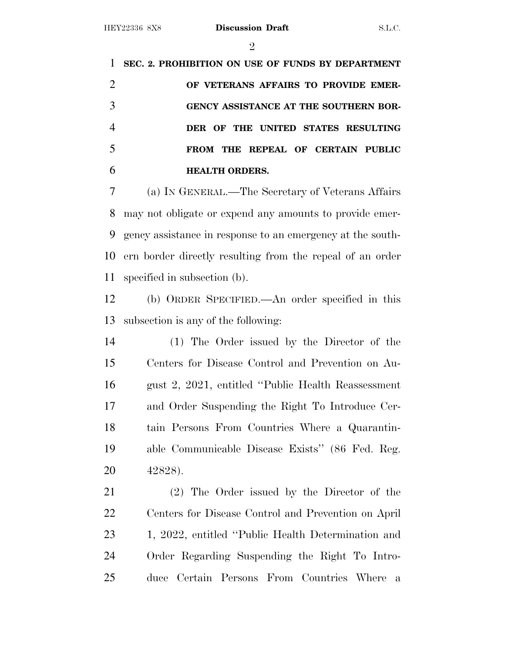$\mathfrak{D}$ 

 **SEC. 2. PROHIBITION ON USE OF FUNDS BY DEPARTMENT OF VETERANS AFFAIRS TO PROVIDE EMER- GENCY ASSISTANCE AT THE SOUTHERN BOR- DER OF THE UNITED STATES RESULTING FROM THE REPEAL OF CERTAIN PUBLIC HEALTH ORDERS.** (a) I<sup>N</sup> GENERAL.—The Secretary of Veterans Affairs

 may not obligate or expend any amounts to provide emer- gency assistance in response to an emergency at the south- ern border directly resulting from the repeal of an order specified in subsection (b).

 (b) ORDER SPECIFIED.—An order specified in this subsection is any of the following:

 (1) The Order issued by the Director of the Centers for Disease Control and Prevention on Au- gust 2, 2021, entitled ''Public Health Reassessment and Order Suspending the Right To Introduce Cer- tain Persons From Countries Where a Quarantin- able Communicable Disease Exists'' (86 Fed. Reg. 42828).

 (2) The Order issued by the Director of the Centers for Disease Control and Prevention on April 1, 2022, entitled ''Public Health Determination and Order Regarding Suspending the Right To Intro-duce Certain Persons From Countries Where a